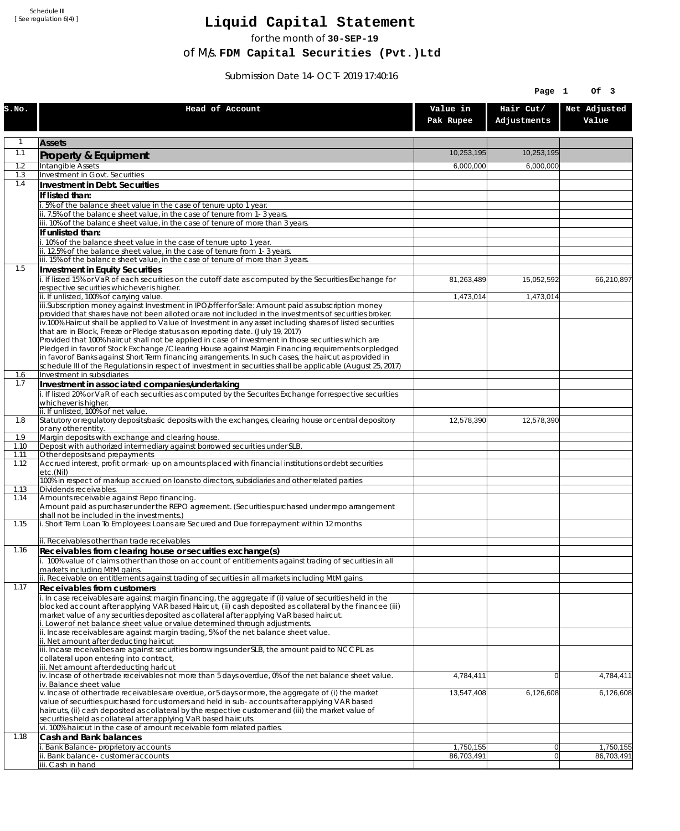Schedule III [ See regulation 6(4) ]

## **Liquid Capital Statement**

for the month of **30-SEP-19**

of M/s. **FDM Capital Securities (Pvt.)Ltd**

Submission Date 14-OCT-2019 17:40:16

|              |                                                                                                                                                                                                                       |                         | Page 1                   | Of 3                                 |
|--------------|-----------------------------------------------------------------------------------------------------------------------------------------------------------------------------------------------------------------------|-------------------------|--------------------------|--------------------------------------|
| S.NO.        | Head of Account                                                                                                                                                                                                       | Value in<br>Pak Rupee   | Hair Cut/<br>Adjustments | Net Adjusted<br>Value                |
| 1            | <b>Assets</b>                                                                                                                                                                                                         |                         |                          |                                      |
| 1.1          | Property & Equipment                                                                                                                                                                                                  | 10,253,195              | 10,253,195               |                                      |
| 1.2          | Intangible Assets                                                                                                                                                                                                     | 6,000,000               | 6,000,000                |                                      |
| 1.3<br>1.4   | Investment in Govt. Securities<br>Investment in Debt. Securities                                                                                                                                                      |                         |                          |                                      |
|              | If listed than:                                                                                                                                                                                                       |                         |                          |                                      |
|              | i. 5% of the balance sheet value in the case of tenure upto 1 year.                                                                                                                                                   |                         |                          |                                      |
|              | ii. 7.5% of the balance sheet value, in the case of tenure from 1-3 years.<br>iii. 10% of the balance sheet value, in the case of tenure of more than 3 years.                                                        |                         |                          |                                      |
|              | If unlisted than:                                                                                                                                                                                                     |                         |                          |                                      |
|              | i. 10% of the balance sheet value in the case of tenure upto 1 year.                                                                                                                                                  |                         |                          |                                      |
|              | ii. 12.5% of the balance sheet value, in the case of tenure from 1-3 years.<br>iii. 15% of the balance sheet value, in the case of tenure of more than 3 years.                                                       |                         |                          |                                      |
| 1.5          | Investment in Equity Securities                                                                                                                                                                                       |                         |                          |                                      |
|              | i. If listed 15% or VaR of each securities on the cutoff date as computed by the Securities Exchange for                                                                                                              | 81,263,489              | 15,052,592               | 66,210,897                           |
|              | respective securities whichever is higher.<br>ii. If unlisted, 100% of carrying value.                                                                                                                                | 1,473,014               | 1,473,014                |                                      |
|              | iii.Subscription money against Investment in IPO/offer for Sale: Amount paid as subscription money                                                                                                                    |                         |                          |                                      |
|              | provided that shares have not been alloted or are not included in the investments of securities broker.<br>iv.100% Haircut shall be applied to Value of Investment in any asset including shares of listed securities |                         |                          |                                      |
|              | that are in Block, Freeze or Pledge status as on reporting date. (July 19, 2017)                                                                                                                                      |                         |                          |                                      |
|              | Provided that 100% haircut shall not be applied in case of investment in those securities which are                                                                                                                   |                         |                          |                                      |
|              | Pledged in favor of Stock Exchange / Clearing House against Margin Financing requirements or pledged<br>in favor of Banks against Short Term financing arrangements. In such cases, the haircut as provided in        |                         |                          |                                      |
|              | schedule III of the Regulations in respect of investment in securities shall be applicable (August 25, 2017)                                                                                                          |                         |                          |                                      |
| 1.6<br>1.7   | Investment in subsidiaries                                                                                                                                                                                            |                         |                          |                                      |
|              | Investment in associated companies/undertaking<br>i. If listed 20% or VaR of each securities as computed by the Securites Exchange for respective securities                                                          |                         |                          |                                      |
|              | whichever is higher.                                                                                                                                                                                                  |                         |                          |                                      |
| 1.8          | ii. If unlisted, 100% of net value.<br>Statutory or regulatory deposits/basic deposits with the exchanges, clearing house or central depository                                                                       | 12,578,390              | 12,578,390               |                                      |
|              | or any other entity.                                                                                                                                                                                                  |                         |                          |                                      |
| 1.9<br>1.10  | Margin deposits with exchange and clearing house.<br>Deposit with authorized intermediary against borrowed securities under SLB.                                                                                      |                         |                          |                                      |
| 1.11         | Other deposits and prepayments                                                                                                                                                                                        |                         |                          |                                      |
| 1.12         | Accrued interest, profit or mark-up on amounts placed with financial institutions or debt securities<br>etc.(Nil)                                                                                                     |                         |                          |                                      |
|              | 100% in respect of markup accrued on loans to directors, subsidiaries and other related parties                                                                                                                       |                         |                          |                                      |
| 1.13<br>1.14 | Dividends receivables.<br>Amounts receivable against Repo financing.                                                                                                                                                  |                         |                          |                                      |
|              | Amount paid as purchaser under the REPO agreement. (Securities purchased under repo arrangement                                                                                                                       |                         |                          |                                      |
| 1.15         | shall not be included in the investments.)<br>i. Short Term Loan To Employees: Loans are Secured and Due for repayment within 12 months                                                                               |                         |                          |                                      |
|              |                                                                                                                                                                                                                       |                         |                          |                                      |
|              | ii. Receivables other than trade receivables                                                                                                                                                                          |                         |                          |                                      |
| 1.16         | Receivables from clearing house or securities exchange(s)<br>i. 100% value of claims other than those on account of entitlements against trading of securities in all                                                 |                         |                          |                                      |
|              | markets including MtM gains.                                                                                                                                                                                          |                         |                          |                                      |
| 1.17         | ii. Receivable on entitlements against trading of securities in all markets including MtM gains.                                                                                                                      |                         |                          |                                      |
|              | <b>Receivables from customers</b><br>i. In case receivables are against margin financing, the aggregate if (i) value of securities held in the                                                                        |                         |                          |                                      |
|              | blocked account after applying VAR based Haircut, (ii) cash deposited as collateral by the financee (iii)                                                                                                             |                         |                          |                                      |
|              | market value of any securities deposited as collateral after applying VaR based haircut.<br>i. Lower of net balance sheet value or value determined through adjustments.                                              |                         |                          |                                      |
|              | ii. Incase receivables are against margin trading, 5% of the net balance sheet value.                                                                                                                                 |                         |                          |                                      |
|              | ii. Net amount after deducting haircut<br>iii. Incase receivalbes are against securities borrowings under SLB, the amount paid to NCCPL as                                                                            |                         |                          |                                      |
|              | collateral upon entering into contract,                                                                                                                                                                               |                         |                          |                                      |
|              | iii. Net amount after deducting haricut<br>$\dot{v}$ . Incase of other trade receivables not more than 5 days overdue, 0% of the net balance sheet value.                                                             | 4,784,411               | $\overline{0}$           | 4,784,411                            |
|              | iv. Balance sheet value<br>v. Incase of other trade receivables are overdue, or 5 days or more, the aggregate of (i) the market                                                                                       | 13,547,408              | 6,126,608                | 6,126,608                            |
|              | value of securities purchased for customers and held in sub-accounts after applying VAR based                                                                                                                         |                         |                          |                                      |
|              | haircuts, (ii) cash deposited as collateral by the respective customer and (iii) the market value of                                                                                                                  |                         |                          |                                      |
|              | securities held as collateral after applying VaR based haircuts.<br>vi. 100% haircut in the case of amount receivable form related parties.                                                                           |                         |                          |                                      |
| 1.18         | Cash and Bank balances                                                                                                                                                                                                |                         |                          |                                      |
|              | i. Bank Balance-proprietory accounts<br>ii. Bank balance-customer accounts                                                                                                                                            | 1,750,155<br>86,703,491 | 0 <br>$\Omega$           | $\overline{1,}750,155$<br>86,703,491 |
|              | iii. Cash in hand                                                                                                                                                                                                     |                         |                          |                                      |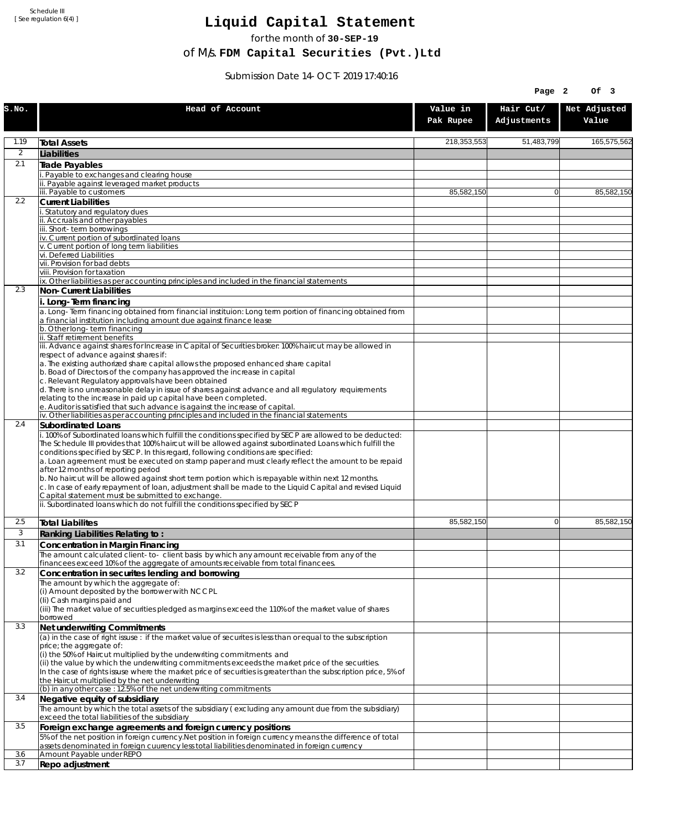Schedule III [ See regulation 6(4) ]

## **Liquid Capital Statement**

for the month of **30-SEP-19**

of M/s. **FDM Capital Securities (Pvt.)Ltd**

Submission Date 14-OCT-2019 17:40:16

|                |                                                                                                                                                                                                                                                                                                                                                                                                                                                                                                                                                             |                       | Page 2                   | Of 3                  |
|----------------|-------------------------------------------------------------------------------------------------------------------------------------------------------------------------------------------------------------------------------------------------------------------------------------------------------------------------------------------------------------------------------------------------------------------------------------------------------------------------------------------------------------------------------------------------------------|-----------------------|--------------------------|-----------------------|
| S.NO.          | Head of Account                                                                                                                                                                                                                                                                                                                                                                                                                                                                                                                                             | Value in<br>Pak Rupee | Hair Cut/<br>Adjustments | Net Adjusted<br>Value |
| 1.19           | <b>Total Assets</b>                                                                                                                                                                                                                                                                                                                                                                                                                                                                                                                                         | 218,353,553           | 51,483,799               | 165,575,562           |
| $\overline{2}$ | Liabilities                                                                                                                                                                                                                                                                                                                                                                                                                                                                                                                                                 |                       |                          |                       |
| 2.1            | Trade Payables                                                                                                                                                                                                                                                                                                                                                                                                                                                                                                                                              |                       |                          |                       |
|                | Payable to exchanges and clearing house                                                                                                                                                                                                                                                                                                                                                                                                                                                                                                                     |                       |                          |                       |
|                | Payable against leveraged market products<br>iii. Payable to customers                                                                                                                                                                                                                                                                                                                                                                                                                                                                                      | 85,582,150            | $\Omega$                 | 85,582,150            |
| 2.2            | <b>Current Liabilities</b>                                                                                                                                                                                                                                                                                                                                                                                                                                                                                                                                  |                       |                          |                       |
|                | Statutory and regulatory dues<br>ii. Accruals and other payables                                                                                                                                                                                                                                                                                                                                                                                                                                                                                            |                       |                          |                       |
|                | iii. Short-term borrowinas                                                                                                                                                                                                                                                                                                                                                                                                                                                                                                                                  |                       |                          |                       |
|                | iv. Current portion of subordinated loans                                                                                                                                                                                                                                                                                                                                                                                                                                                                                                                   |                       |                          |                       |
|                | v. Current portion of long term liabilities<br>vi. Deferred Liabilities                                                                                                                                                                                                                                                                                                                                                                                                                                                                                     |                       |                          |                       |
|                | vii. Provision for bad debts                                                                                                                                                                                                                                                                                                                                                                                                                                                                                                                                |                       |                          |                       |
|                | viii. Provision for taxation                                                                                                                                                                                                                                                                                                                                                                                                                                                                                                                                |                       |                          |                       |
| 2.3            | ix. Other liabilities as per accounting principles and included in the financial statements<br>Non-Current Liabilities                                                                                                                                                                                                                                                                                                                                                                                                                                      |                       |                          |                       |
|                | i. Long-Term financing                                                                                                                                                                                                                                                                                                                                                                                                                                                                                                                                      |                       |                          |                       |
|                | a. Long-Term financing obtained from financial instituion: Long term portion of financing obtained from<br>a financial institution including amount due against finance lease                                                                                                                                                                                                                                                                                                                                                                               |                       |                          |                       |
|                | b. Other long-term financing<br>ii. Staff retirement benefits                                                                                                                                                                                                                                                                                                                                                                                                                                                                                               |                       |                          |                       |
|                | iii. Advance against shares for Increase in Capital of Securities broker: 100% haircut may be allowed in                                                                                                                                                                                                                                                                                                                                                                                                                                                    |                       |                          |                       |
|                | respect of advance against shares if:                                                                                                                                                                                                                                                                                                                                                                                                                                                                                                                       |                       |                          |                       |
|                | a. The existing authorized share capital allows the proposed enhanced share capital<br>b. Boad of Directors of the company has approved the increase in capital                                                                                                                                                                                                                                                                                                                                                                                             |                       |                          |                       |
|                | c. Relevant Regulatory approvals have been obtained                                                                                                                                                                                                                                                                                                                                                                                                                                                                                                         |                       |                          |                       |
|                | d. There is no unreasonable delay in issue of shares against advance and all regulatory requirements<br>relating to the increase in paid up capital have been completed.                                                                                                                                                                                                                                                                                                                                                                                    |                       |                          |                       |
|                | e. Auditor is satisfied that such advance is against the increase of capital.                                                                                                                                                                                                                                                                                                                                                                                                                                                                               |                       |                          |                       |
|                | iv. Other liabilities as per accounting principles and included in the financial statements                                                                                                                                                                                                                                                                                                                                                                                                                                                                 |                       |                          |                       |
| 2.4            | Subordinated Loans                                                                                                                                                                                                                                                                                                                                                                                                                                                                                                                                          |                       |                          |                       |
|                | . 100% of Subordinated loans which fulfill the conditions specified by SECP are allowed to be deducted:<br>The Schedule III provides that 100% haircut will be allowed against subordinated Loans which fulfill the<br>conditions specified by SECP. In this regard, following conditions are specified:<br>a. Loan agreement must be executed on stamp paper and must clearly reflect the amount to be repaid<br>after 12 months of reporting period<br>b. No haircut will be allowed against short term portion which is repayable within next 12 months. |                       |                          |                       |
|                | c. In case of early repayment of loan, adjustment shall be made to the Liquid Capital and revised Liquid<br>Capital statement must be submitted to exchange.<br>ii. Subordinated loans which do not fulfill the conditions specified by SECP                                                                                                                                                                                                                                                                                                                |                       |                          |                       |
|                |                                                                                                                                                                                                                                                                                                                                                                                                                                                                                                                                                             |                       |                          |                       |
| 2.5            | <b>Total Liabilites</b>                                                                                                                                                                                                                                                                                                                                                                                                                                                                                                                                     | 85,582,150            | $\Omega$                 | 85,582,150            |
| 3              | Ranking Liabilities Relating to:                                                                                                                                                                                                                                                                                                                                                                                                                                                                                                                            |                       |                          |                       |
| 3.1            | Concentration in Margin Financing                                                                                                                                                                                                                                                                                                                                                                                                                                                                                                                           |                       |                          |                       |
|                | The amount calculated client-to- client basis by which any amount receivable from any of the<br>financees exceed 10% of the aggregate of amounts receivable from total financees.                                                                                                                                                                                                                                                                                                                                                                           |                       |                          |                       |
| 3.2            | Concentration in securites lending and borrowing                                                                                                                                                                                                                                                                                                                                                                                                                                                                                                            |                       |                          |                       |
|                | The amount by which the aggregate of:                                                                                                                                                                                                                                                                                                                                                                                                                                                                                                                       |                       |                          |                       |
|                | (i) Amount deposited by the borrower with NCCPL<br>(Ii) Cash margins paid and                                                                                                                                                                                                                                                                                                                                                                                                                                                                               |                       |                          |                       |
|                | (iii) The market value of securities pledged as margins exceed the 110% of the market value of shares                                                                                                                                                                                                                                                                                                                                                                                                                                                       |                       |                          |                       |
|                | borrowed                                                                                                                                                                                                                                                                                                                                                                                                                                                                                                                                                    |                       |                          |                       |
| 3.3            | Net underwriting Commitments<br>(a) in the case of right issuse : if the market value of securites is less than or equal to the subscription                                                                                                                                                                                                                                                                                                                                                                                                                |                       |                          |                       |
|                | price; the aggregate of:                                                                                                                                                                                                                                                                                                                                                                                                                                                                                                                                    |                       |                          |                       |
|                | (i) the 50% of Haircut multiplied by the underwriting commitments and                                                                                                                                                                                                                                                                                                                                                                                                                                                                                       |                       |                          |                       |
|                | (ii) the value by which the underwriting commitments exceeds the market price of the securities.<br>In the case of rights issuse where the market price of securities is greater than the subscription price, 5% of                                                                                                                                                                                                                                                                                                                                         |                       |                          |                       |
|                | the Haircut multiplied by the net underwriting                                                                                                                                                                                                                                                                                                                                                                                                                                                                                                              |                       |                          |                       |
|                | (b) in any other case: 12.5% of the net underwriting commitments                                                                                                                                                                                                                                                                                                                                                                                                                                                                                            |                       |                          |                       |
| 3.4            | Negative equity of subsidiary<br>The amount by which the total assets of the subsidiary (excluding any amount due from the subsidiary)                                                                                                                                                                                                                                                                                                                                                                                                                      |                       |                          |                       |
|                | exceed the total liabilities of the subsidiary                                                                                                                                                                                                                                                                                                                                                                                                                                                                                                              |                       |                          |                       |
| 3.5            | Foreign exchange agreements and foreign currency positions                                                                                                                                                                                                                                                                                                                                                                                                                                                                                                  |                       |                          |                       |
|                | 5% of the net position in foreign currency. Net position in foreign currency means the difference of total<br>assets denominated in foreign cuurency less total liabilities denominated in foreign currency                                                                                                                                                                                                                                                                                                                                                 |                       |                          |                       |
| 3.6            | Amount Payable under REPO                                                                                                                                                                                                                                                                                                                                                                                                                                                                                                                                   |                       |                          |                       |
| 3.7            | Repo adjustment                                                                                                                                                                                                                                                                                                                                                                                                                                                                                                                                             |                       |                          |                       |